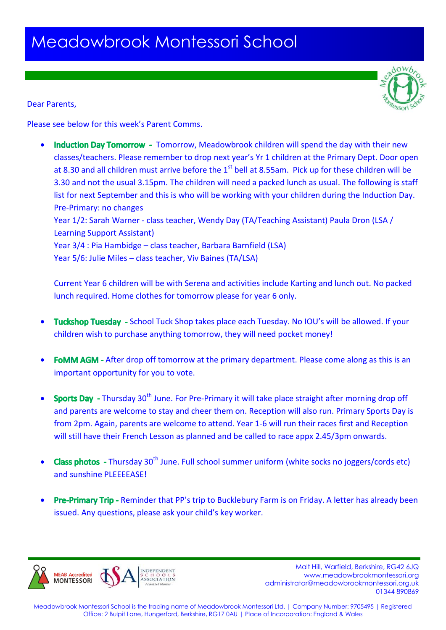## Meadowbrook Montessori School



Dear Parents,

Please see below for this week's Parent Comms.

Induction Day Tomorrow - Tomorrow, Meadowbrook children will spend the day with their new classes/teachers. Please remember to drop next year's Yr 1 children at the Primary Dept. Door open at 8.30 and all children must arrive before the  $1<sup>st</sup>$  bell at 8.55am. Pick up for these children will be 3.30 and not the usual 3.15pm. The children will need a packed lunch as usual. The following is staff list for next September and this is who will be working with your children during the Induction Day. Pre-Primary: no changes Year 1/2: Sarah Warner - class teacher, Wendy Day (TA/Teaching Assistant) Paula Dron (LSA / Learning Support Assistant) Year 3/4 : Pia Hambidge – class teacher, Barbara Barnfield (LSA)

Year 5/6: Julie Miles – class teacher, Viv Baines (TA/LSA)

Current Year 6 children will be with Serena and activities include Karting and lunch out. No packed lunch required. Home clothes for tomorrow please for year 6 only.

- Tuckshop Tuesday School Tuck Shop takes place each Tuesday. No IOU's will be allowed. If your children wish to purchase anything tomorrow, they will need pocket money!
- FOMM AGM After drop off tomorrow at the primary department. Please come along as this is an important opportunity for you to vote.
- **Sports Day** Thursday 30<sup>th</sup> June. For Pre-Primary it will take place straight after morning drop off and parents are welcome to stay and cheer them on. Reception will also run. Primary Sports Day is from 2pm. Again, parents are welcome to attend. Year 1-6 will run their races first and Reception will still have their French Lesson as planned and be called to race appx 2.45/3pm onwards.
- Class photos Thursday  $30<sup>th</sup>$  June. Full school summer uniform (white socks no joggers/cords etc) and sunshine PLEEEEASE!
- Pre-Primary Trip Reminder that PP's trip to Bucklebury Farm is on Friday. A letter has already been issued. Any questions, please ask your child's key worker.



 Malt Hill, Warfield, Berkshire, RG42 6JQ www.meadowbrookmontessori.org [administrator@meadowbrookmontessori.org.uk](mailto:administrator@meadowbrookmontessori.org.uk) 01344 890869

Meadowbrook Montessori School is the trading name of Meadowbrook Montessori Ltd. | Company Number: 9705495 | Registered Office: 2 Bulpit Lane, Hungerford, Berkshire, RG17 0AU | Place of Incorporation: England & Wales